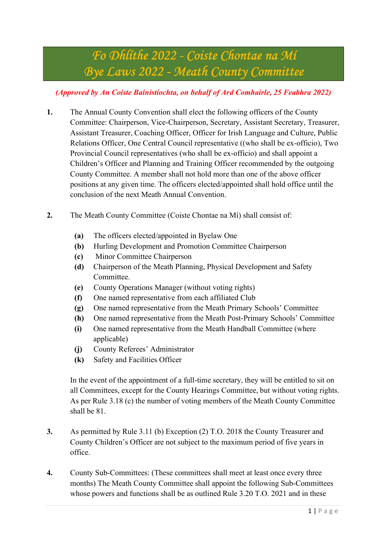# Fo Dhlíthe 2022 - Coiste Chontae na Mí Bye Laws 2022 - Meath County Committee

## (Approved by An Coiste Bainistíochta, on behalf of Ard Comhairle, 25 Feabhra 2022)

- 1. The Annual County Convention shall elect the following officers of the County Committee: Chairperson, Vice-Chairperson, Secretary, Assistant Secretary, Treasurer, Assistant Treasurer, Coaching Officer, Officer for Irish Language and Culture, Public Relations Officer, One Central Council representative ((who shall be ex-officio), Two Provincial Council representatives (who shall be ex-officio) and shall appoint a Children's Officer and Planning and Training Officer recommended by the outgoing County Committee. A member shall not hold more than one of the above officer positions at any given time. The officers elected/appointed shall hold office until the conclusion of the next Meath Annual Convention.
- 2. The Meath County Committee (Coiste Chontae na Mí) shall consist of:
	- (a) The officers elected/appointed in Byelaw One
	- (b) Hurling Development and Promotion Committee Chairperson
	- (c) Minor Committee Chairperson
	- (d) Chairperson of the Meath Planning, Physical Development and Safety Committee.
	- (e) County Operations Manager (without voting rights)
	- (f) One named representative from each affiliated Club
	- (g) One named representative from the Meath Primary Schools' Committee
	- (h) One named representative from the Meath Post-Primary Schools' Committee
	- (i) One named representative from the Meath Handball Committee (where applicable)
	- (j) County Referees' Administrator
	- (k) Safety and Facilities Officer

In the event of the appointment of a full-time secretary, they will be entitled to sit on all Committees, except for the County Hearings Committee, but without voting rights. As per Rule 3.18 (c) the number of voting members of the Meath County Committee shall be 81.

- 3. As permitted by Rule 3.11 (b) Exception (2) T.O. 2018 the County Treasurer and County Children's Officer are not subject to the maximum period of five years in office.
- 4. County Sub-Committees: (These committees shall meet at least once every three months) The Meath County Committee shall appoint the following Sub-Committees whose powers and functions shall be as outlined Rule 3.20 T.O. 2021 and in these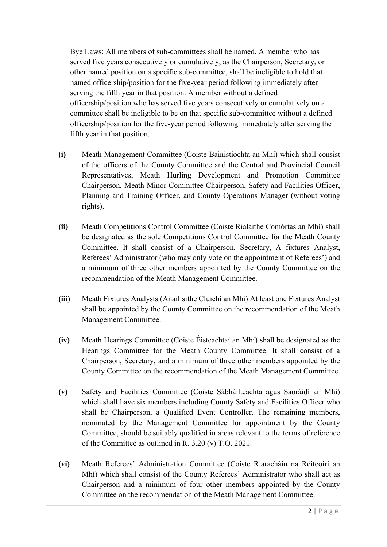Bye Laws: All members of sub-committees shall be named. A member who has served five years consecutively or cumulatively, as the Chairperson, Secretary, or other named position on a specific sub-committee, shall be ineligible to hold that named officership/position for the five-year period following immediately after serving the fifth year in that position. A member without a defined officership/position who has served five years consecutively or cumulatively on a committee shall be ineligible to be on that specific sub-committee without a defined officership/position for the five-year period following immediately after serving the fifth year in that position.

- (i) Meath Management Committee (Coiste Bainistíochta an Mhí) which shall consist of the officers of the County Committee and the Central and Provincial Council Representatives, Meath Hurling Development and Promotion Committee Chairperson, Meath Minor Committee Chairperson, Safety and Facilities Officer, Planning and Training Officer, and County Operations Manager (without voting rights).
- (ii) Meath Competitions Control Committee (Coiste Rialaithe Comórtas an Mhí) shall be designated as the sole Competitions Control Committee for the Meath County Committee. It shall consist of a Chairperson, Secretary, A fixtures Analyst, Referees' Administrator (who may only vote on the appointment of Referees') and a minimum of three other members appointed by the County Committee on the recommendation of the Meath Management Committee.
- (iii) Meath Fixtures Analysts (Anailísithe Cluichí an Mhí) At least one Fixtures Analyst shall be appointed by the County Committee on the recommendation of the Meath Management Committee.
- (iv) Meath Hearings Committee (Coiste Éisteachtaí an Mhí) shall be designated as the Hearings Committee for the Meath County Committee. It shall consist of a Chairperson, Secretary, and a minimum of three other members appointed by the County Committee on the recommendation of the Meath Management Committee.
- (v) Safety and Facilities Committee (Coiste Sábháilteachta agus Saoráidí an Mhí) which shall have six members including County Safety and Facilities Officer who shall be Chairperson, a Qualified Event Controller. The remaining members, nominated by the Management Committee for appointment by the County Committee, should be suitably qualified in areas relevant to the terms of reference of the Committee as outlined in R. 3.20 (v) T.O. 2021.
- (vi) Meath Referees' Administration Committee (Coiste Riaracháin na Réiteoirí an Mhí) which shall consist of the County Referees' Administrator who shall act as Chairperson and a minimum of four other members appointed by the County Committee on the recommendation of the Meath Management Committee.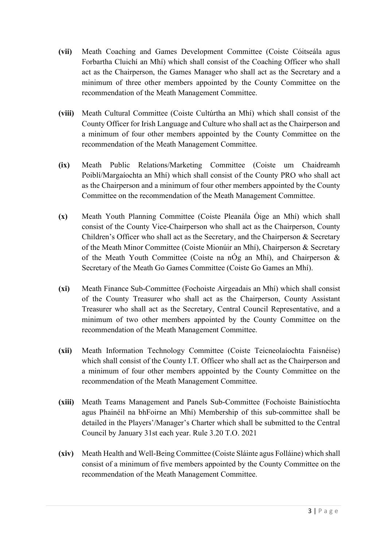- (vii) Meath Coaching and Games Development Committee (Coiste Cóitseála agus Forbartha Cluichí an Mhí) which shall consist of the Coaching Officer who shall act as the Chairperson, the Games Manager who shall act as the Secretary and a minimum of three other members appointed by the County Committee on the recommendation of the Meath Management Committee.
- (viii) Meath Cultural Committee (Coiste Cultúrtha an Mhí) which shall consist of the County Officer for Irish Language and Culture who shall act as the Chairperson and a minimum of four other members appointed by the County Committee on the recommendation of the Meath Management Committee.
- (ix) Meath Public Relations/Marketing Committee (Coiste um Chaidreamh Poiblí/Margaíochta an Mhí) which shall consist of the County PRO who shall act as the Chairperson and a minimum of four other members appointed by the County Committee on the recommendation of the Meath Management Committee.
- (x) Meath Youth Planning Committee (Coiste Pleanála Óige an Mhí) which shall consist of the County Vice-Chairperson who shall act as the Chairperson, County Children's Officer who shall act as the Secretary, and the Chairperson & Secretary of the Meath Minor Committee (Coiste Mionúir an Mhí), Chairperson & Secretary of the Meath Youth Committee (Coiste na nÓg an Mhí), and Chairperson  $\&$ Secretary of the Meath Go Games Committee (Coiste Go Games an Mhí).
- (xi) Meath Finance Sub-Committee (Fochoiste Airgeadais an Mhí) which shall consist of the County Treasurer who shall act as the Chairperson, County Assistant Treasurer who shall act as the Secretary, Central Council Representative, and a minimum of two other members appointed by the County Committee on the recommendation of the Meath Management Committee.
- (xii) Meath Information Technology Committee (Coiste Teicneolaíochta Faisnéise) which shall consist of the County I.T. Officer who shall act as the Chairperson and a minimum of four other members appointed by the County Committee on the recommendation of the Meath Management Committee.
- (xiii) Meath Teams Management and Panels Sub-Committee (Fochoiste Bainistíochta agus Phainéil na bhFoirne an Mhí) Membership of this sub-committee shall be detailed in the Players'/Manager's Charter which shall be submitted to the Central Council by January 31st each year. Rule 3.20 T.O. 2021
- (xiv) Meath Health and Well-Being Committee (Coiste Sláinte agus Folláine) which shall consist of a minimum of five members appointed by the County Committee on the recommendation of the Meath Management Committee.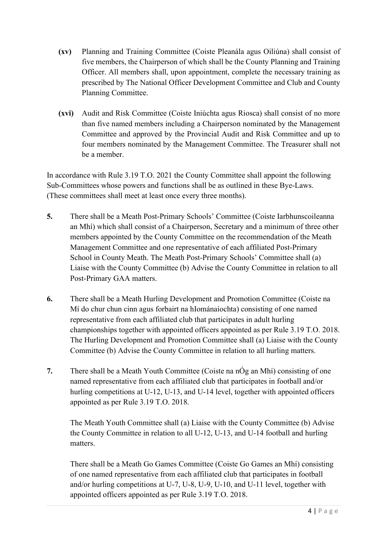- (xv) Planning and Training Committee (Coiste Pleanála agus Oiliúna) shall consist of five members, the Chairperson of which shall be the County Planning and Training Officer. All members shall, upon appointment, complete the necessary training as prescribed by The National Officer Development Committee and Club and County Planning Committee.
- (xvi) Audit and Risk Committee (Coiste Iniúchta agus Riosca) shall consist of no more than five named members including a Chairperson nominated by the Management Committee and approved by the Provincial Audit and Risk Committee and up to four members nominated by the Management Committee. The Treasurer shall not be a member.

In accordance with Rule 3.19 T.O. 2021 the County Committee shall appoint the following Sub-Committees whose powers and functions shall be as outlined in these Bye-Laws. (These committees shall meet at least once every three months).

- 5. There shall be a Meath Post-Primary Schools' Committee (Coiste Iarbhunscoileanna an Mhí) which shall consist of a Chairperson, Secretary and a minimum of three other members appointed by the County Committee on the recommendation of the Meath Management Committee and one representative of each affiliated Post-Primary School in County Meath. The Meath Post-Primary Schools' Committee shall (a) Liaise with the County Committee (b) Advise the County Committee in relation to all Post-Primary GAA matters.
- 6. There shall be a Meath Hurling Development and Promotion Committee (Coiste na Mí do chur chun cinn agus forbairt na hIománaíochta) consisting of one named representative from each affiliated club that participates in adult hurling championships together with appointed officers appointed as per Rule 3.19 T.O. 2018. The Hurling Development and Promotion Committee shall (a) Liaise with the County Committee (b) Advise the County Committee in relation to all hurling matters.
- 7. There shall be a Meath Youth Committee (Coiste na  $n\dot{O}g$  an Mhí) consisting of one named representative from each affiliated club that participates in football and/or hurling competitions at U-12, U-13, and U-14 level, together with appointed officers appointed as per Rule 3.19 T.O. 2018.

The Meath Youth Committee shall (a) Liaise with the County Committee (b) Advise the County Committee in relation to all U-12, U-13, and U-14 football and hurling matters.

There shall be a Meath Go Games Committee (Coiste Go Games an Mhí) consisting of one named representative from each affiliated club that participates in football and/or hurling competitions at U-7, U-8, U-9, U-10, and U-11 level, together with appointed officers appointed as per Rule 3.19 T.O. 2018.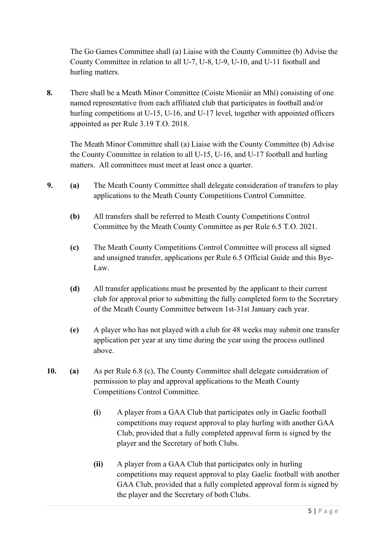The Go Games Committee shall (a) Liaise with the County Committee (b) Advise the County Committee in relation to all U-7, U-8, U-9, U-10, and U-11 football and hurling matters.

8. There shall be a Meath Minor Committee (Coiste Mionúir an Mhí) consisting of one named representative from each affiliated club that participates in football and/or hurling competitions at U-15, U-16, and U-17 level, together with appointed officers appointed as per Rule 3.19 T.O. 2018.

The Meath Minor Committee shall (a) Liaise with the County Committee (b) Advise the County Committee in relation to all U-15, U-16, and U-17 football and hurling matters. All committees must meet at least once a quarter.

- 9. (a) The Meath County Committee shall delegate consideration of transfers to play applications to the Meath County Competitions Control Committee.
	- (b) All transfers shall be referred to Meath County Competitions Control Committee by the Meath County Committee as per Rule 6.5 T.O. 2021.
	- (c) The Meath County Competitions Control Committee will process all signed and unsigned transfer, applications per Rule 6.5 Official Guide and this Bye-Law.
	- (d) All transfer applications must be presented by the applicant to their current club for approval prior to submitting the fully completed form to the Secretary of the Meath County Committee between 1st-31st January each year.
	- (e) A player who has not played with a club for 48 weeks may submit one transfer application per year at any time during the year using the process outlined above.
- 10. (a) As per Rule 6.8 (c), The County Committee shall delegate consideration of permission to play and approval applications to the Meath County Competitions Control Committee.
	- (i) A player from a GAA Club that participates only in Gaelic football competitions may request approval to play hurling with another GAA Club, provided that a fully completed approval form is signed by the player and the Secretary of both Clubs.
	- (ii) A player from a GAA Club that participates only in hurling competitions may request approval to play Gaelic football with another GAA Club, provided that a fully completed approval form is signed by the player and the Secretary of both Clubs.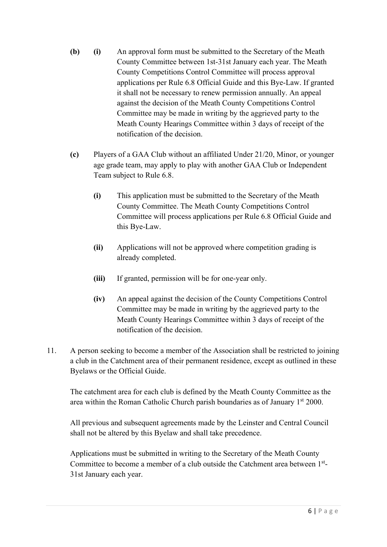- (b) (i) An approval form must be submitted to the Secretary of the Meath County Committee between 1st-31st January each year. The Meath County Competitions Control Committee will process approval applications per Rule 6.8 Official Guide and this Bye-Law. If granted it shall not be necessary to renew permission annually. An appeal against the decision of the Meath County Competitions Control Committee may be made in writing by the aggrieved party to the Meath County Hearings Committee within 3 days of receipt of the notification of the decision.
- (c) Players of a GAA Club without an affiliated Under 21/20, Minor, or younger age grade team, may apply to play with another GAA Club or Independent Team subject to Rule 6.8.
	- (i) This application must be submitted to the Secretary of the Meath County Committee. The Meath County Competitions Control Committee will process applications per Rule 6.8 Official Guide and this Bye-Law.
	- (ii) Applications will not be approved where competition grading is already completed.
	- (iii) If granted, permission will be for one-year only.
	- (iv) An appeal against the decision of the County Competitions Control Committee may be made in writing by the aggrieved party to the Meath County Hearings Committee within 3 days of receipt of the notification of the decision.
- 11. A person seeking to become a member of the Association shall be restricted to joining a club in the Catchment area of their permanent residence, except as outlined in these Byelaws or the Official Guide.

The catchment area for each club is defined by the Meath County Committee as the area within the Roman Catholic Church parish boundaries as of January  $1<sup>st</sup> 2000$ .

All previous and subsequent agreements made by the Leinster and Central Council shall not be altered by this Byelaw and shall take precedence.

Applications must be submitted in writing to the Secretary of the Meath County Committee to become a member of a club outside the Catchment area between 1st-31st January each year.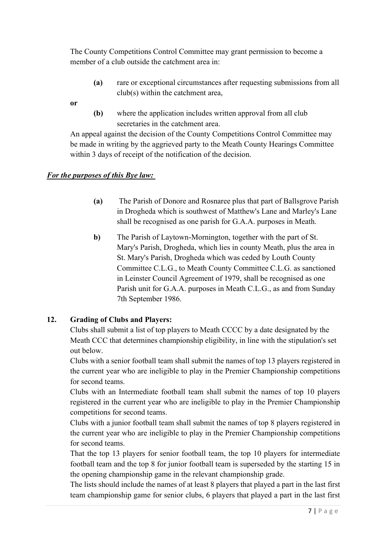The County Competitions Control Committee may grant permission to become a member of a club outside the catchment area in:

(a) rare or exceptional circumstances after requesting submissions from all club(s) within the catchment area,

or

(b) where the application includes written approval from all club secretaries in the catchment area.

An appeal against the decision of the County Competitions Control Committee may be made in writing by the aggrieved party to the Meath County Hearings Committee within 3 days of receipt of the notification of the decision.

### For the purposes of this Bye law:

- (a) The Parish of Donore and Rosnaree plus that part of Ballsgrove Parish in Drogheda which is southwest of Matthew's Lane and Marley's Lane shall be recognised as one parish for G.A.A. purposes in Meath.
- b) The Parish of Laytown-Mornington, together with the part of St. Mary's Parish, Drogheda, which lies in county Meath, plus the area in St. Mary's Parish, Drogheda which was ceded by Louth County Committee C.L.G., to Meath County Committee C.L.G. as sanctioned in Leinster Council Agreement of 1979, shall be recognised as one Parish unit for G.A.A. purposes in Meath C.L.G., as and from Sunday 7th September 1986.

### 12. Grading of Clubs and Players:

Clubs shall submit a list of top players to Meath CCCC by a date designated by the Meath CCC that determines championship eligibility, in line with the stipulation's set out below.

Clubs with a senior football team shall submit the names of top 13 players registered in the current year who are ineligible to play in the Premier Championship competitions for second teams.

Clubs with an Intermediate football team shall submit the names of top 10 players registered in the current year who are ineligible to play in the Premier Championship competitions for second teams.

Clubs with a junior football team shall submit the names of top 8 players registered in the current year who are ineligible to play in the Premier Championship competitions for second teams.

That the top 13 players for senior football team, the top 10 players for intermediate football team and the top 8 for junior football team is superseded by the starting 15 in the opening championship game in the relevant championship grade.

The lists should include the names of at least 8 players that played a part in the last first team championship game for senior clubs, 6 players that played a part in the last first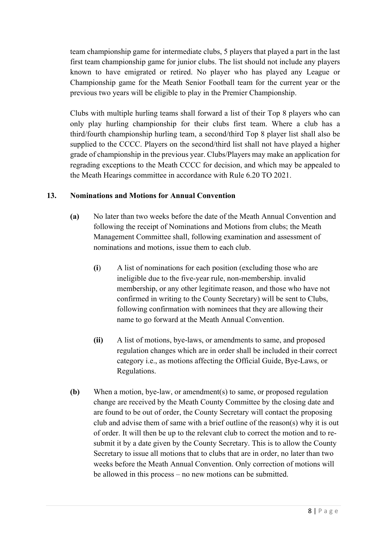team championship game for intermediate clubs, 5 players that played a part in the last first team championship game for junior clubs. The list should not include any players known to have emigrated or retired. No player who has played any League or Championship game for the Meath Senior Football team for the current year or the previous two years will be eligible to play in the Premier Championship.

Clubs with multiple hurling teams shall forward a list of their Top 8 players who can only play hurling championship for their clubs first team. Where a club has a third/fourth championship hurling team, a second/third Top 8 player list shall also be supplied to the CCCC. Players on the second/third list shall not have played a higher grade of championship in the previous year. Clubs/Players may make an application for regrading exceptions to the Meath CCCC for decision, and which may be appealed to the Meath Hearings committee in accordance with Rule 6.20 TO 2021.

#### 13. Nominations and Motions for Annual Convention

- (a) No later than two weeks before the date of the Meath Annual Convention and following the receipt of Nominations and Motions from clubs; the Meath Management Committee shall, following examination and assessment of nominations and motions, issue them to each club.
	- (i) A list of nominations for each position (excluding those who are ineligible due to the five-year rule, non-membership. invalid membership, or any other legitimate reason, and those who have not confirmed in writing to the County Secretary) will be sent to Clubs, following confirmation with nominees that they are allowing their name to go forward at the Meath Annual Convention.
	- (ii) A list of motions, bye-laws, or amendments to same, and proposed regulation changes which are in order shall be included in their correct category i.e., as motions affecting the Official Guide, Bye-Laws, or Regulations.
- (b) When a motion, bye-law, or amendment(s) to same, or proposed regulation change are received by the Meath County Committee by the closing date and are found to be out of order, the County Secretary will contact the proposing club and advise them of same with a brief outline of the reason(s) why it is out of order. It will then be up to the relevant club to correct the motion and to resubmit it by a date given by the County Secretary. This is to allow the County Secretary to issue all motions that to clubs that are in order, no later than two weeks before the Meath Annual Convention. Only correction of motions will be allowed in this process – no new motions can be submitted.